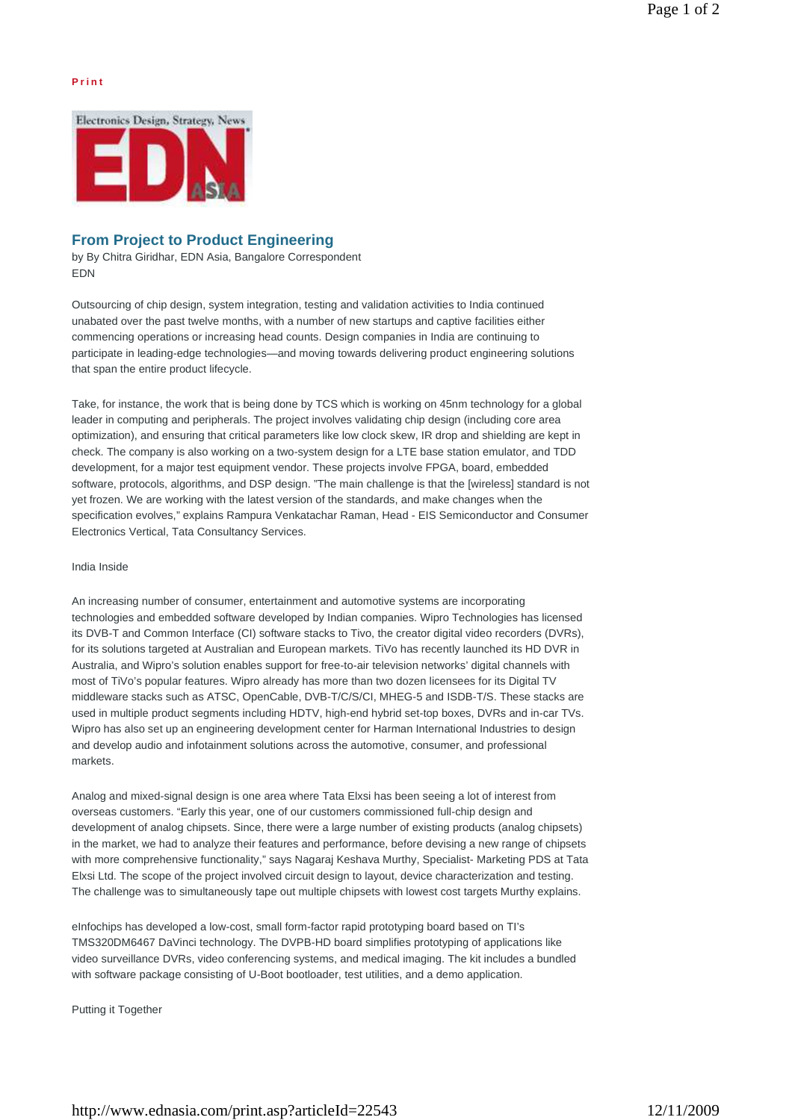## **P r i n t**



# **From Project to Product Engineering**

by By Chitra Giridhar, EDN Asia, Bangalore Correspondent EDN

Outsourcing of chip design, system integration, testing and validation activities to India continued unabated over the past twelve months, with a number of new startups and captive facilities either commencing operations or increasing head counts. Design companies in India are continuing to participate in leading-edge technologies—and moving towards delivering product engineering solutions that span the entire product lifecycle.

Take, for instance, the work that is being done by TCS which is working on 45nm technology for a global leader in computing and peripherals. The project involves validating chip design (including core area optimization), and ensuring that critical parameters like low clock skew, IR drop and shielding are kept in check. The company is also working on a two-system design for a LTE base station emulator, and TDD development, for a major test equipment vendor. These projects involve FPGA, board, embedded software, protocols, algorithms, and DSP design. "The main challenge is that the [wireless] standard is not yet frozen. We are working with the latest version of the standards, and make changes when the specification evolves," explains Rampura Venkatachar Raman, Head - EIS Semiconductor and Consumer Electronics Vertical, Tata Consultancy Services.

#### India Inside

An increasing number of consumer, entertainment and automotive systems are incorporating technologies and embedded software developed by Indian companies. Wipro Technologies has licensed its DVB-T and Common Interface (CI) software stacks to Tivo, the creator digital video recorders (DVRs), for its solutions targeted at Australian and European markets. TiVo has recently launched its HD DVR in Australia, and Wipro's solution enables support for free-to-air television networks' digital channels with most of TiVo's popular features. Wipro already has more than two dozen licensees for its Digital TV middleware stacks such as ATSC, OpenCable, DVB-T/C/S/CI, MHEG-5 and ISDB-T/S. These stacks are used in multiple product segments including HDTV, high-end hybrid set-top boxes, DVRs and in-car TVs. Wipro has also set up an engineering development center for Harman International Industries to design and develop audio and infotainment solutions across the automotive, consumer, and professional markets.

Analog and mixed-signal design is one area where Tata Elxsi has been seeing a lot of interest from overseas customers. "Early this year, one of our customers commissioned full-chip design and development of analog chipsets. Since, there were a large number of existing products (analog chipsets) in the market, we had to analyze their features and performance, before devising a new range of chipsets with more comprehensive functionality," says Nagaraj Keshava Murthy, Specialist- Marketing PDS at Tata Elxsi Ltd. The scope of the project involved circuit design to layout, device characterization and testing. The challenge was to simultaneously tape out multiple chipsets with lowest cost targets Murthy explains.

eInfochips has developed a low-cost, small form-factor rapid prototyping board based on TI's TMS320DM6467 DaVinci technology. The DVPB-HD board simplifies prototyping of applications like video surveillance DVRs, video conferencing systems, and medical imaging. The kit includes a bundled with software package consisting of U-Boot bootloader, test utilities, and a demo application.

Putting it Together